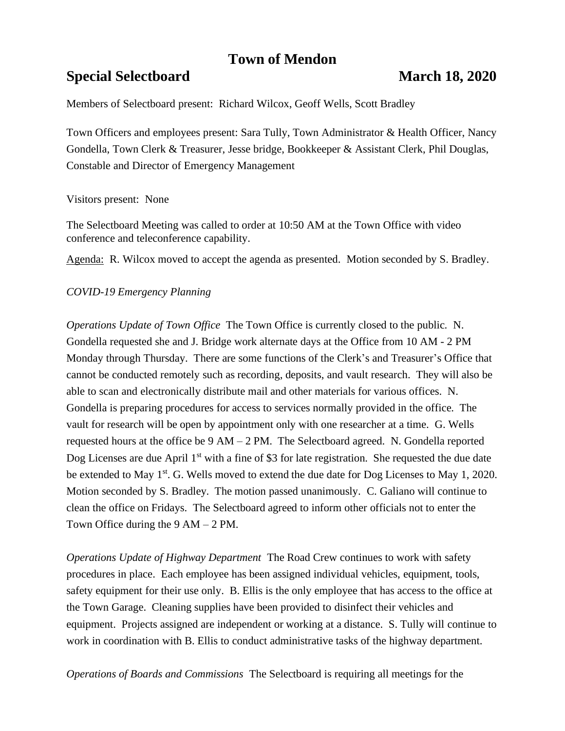# **Town of Mendon**

## **Special Selectboard March 18, 2020**

Members of Selectboard present: Richard Wilcox, Geoff Wells, Scott Bradley

Town Officers and employees present: Sara Tully, Town Administrator & Health Officer, Nancy Gondella, Town Clerk & Treasurer, Jesse bridge, Bookkeeper & Assistant Clerk, Phil Douglas, Constable and Director of Emergency Management

### Visitors present: None

The Selectboard Meeting was called to order at 10:50 AM at the Town Office with video conference and teleconference capability.

Agenda: R. Wilcox moved to accept the agenda as presented. Motion seconded by S. Bradley.

### *COVID-19 Emergency Planning*

*Operations Update of Town Office* The Town Office is currently closed to the public. N. Gondella requested she and J. Bridge work alternate days at the Office from 10 AM - 2 PM Monday through Thursday. There are some functions of the Clerk's and Treasurer's Office that cannot be conducted remotely such as recording, deposits, and vault research. They will also be able to scan and electronically distribute mail and other materials for various offices. N. Gondella is preparing procedures for access to services normally provided in the office. The vault for research will be open by appointment only with one researcher at a time. G. Wells requested hours at the office be 9 AM – 2 PM. The Selectboard agreed. N. Gondella reported Dog Licenses are due April  $1<sup>st</sup>$  with a fine of \$3 for late registration. She requested the due date be extended to May 1<sup>st</sup>. G. Wells moved to extend the due date for Dog Licenses to May 1, 2020. Motion seconded by S. Bradley. The motion passed unanimously. C. Galiano will continue to clean the office on Fridays. The Selectboard agreed to inform other officials not to enter the Town Office during the  $9 AM - 2 PM$ .

*Operations Update of Highway Department* The Road Crew continues to work with safety procedures in place. Each employee has been assigned individual vehicles, equipment, tools, safety equipment for their use only. B. Ellis is the only employee that has access to the office at the Town Garage. Cleaning supplies have been provided to disinfect their vehicles and equipment. Projects assigned are independent or working at a distance. S. Tully will continue to work in coordination with B. Ellis to conduct administrative tasks of the highway department.

*Operations of Boards and Commissions* The Selectboard is requiring all meetings for the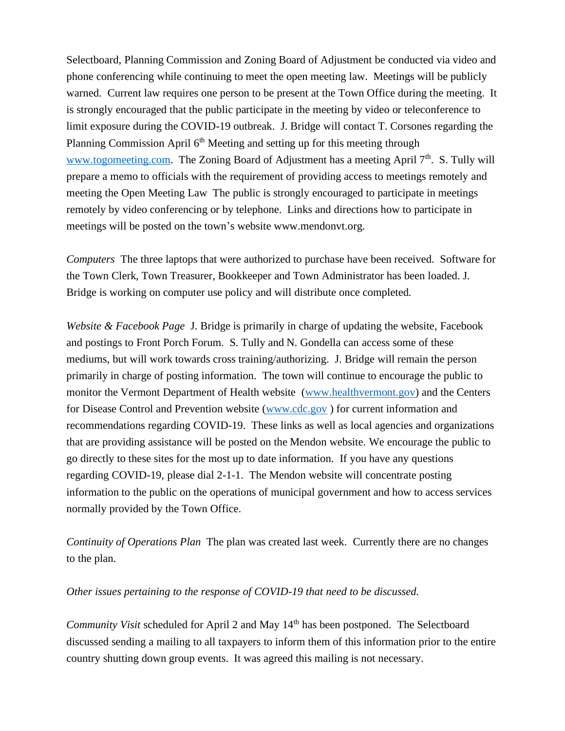Selectboard, Planning Commission and Zoning Board of Adjustment be conducted via video and phone conferencing while continuing to meet the open meeting law. Meetings will be publicly warned. Current law requires one person to be present at the Town Office during the meeting. It is strongly encouraged that the public participate in the meeting by video or teleconference to limit exposure during the COVID-19 outbreak. J. Bridge will contact T. Corsones regarding the Planning Commission April 6<sup>th</sup> Meeting and setting up for this meeting through [www.togomeeting.com.](http://www.togomeeting.com/) The Zoning Board of Adjustment has a meeting April 7<sup>th</sup>. S. Tully will prepare a memo to officials with the requirement of providing access to meetings remotely and meeting the Open Meeting Law The public is strongly encouraged to participate in meetings remotely by video conferencing or by telephone. Links and directions how to participate in meetings will be posted on the town's website www.mendonvt.org.

*Computers* The three laptops that were authorized to purchase have been received. Software for the Town Clerk, Town Treasurer, Bookkeeper and Town Administrator has been loaded. J. Bridge is working on computer use policy and will distribute once completed.

*Website & Facebook Page* J. Bridge is primarily in charge of updating the website, Facebook and postings to Front Porch Forum. S. Tully and N. Gondella can access some of these mediums, but will work towards cross training/authorizing. J. Bridge will remain the person primarily in charge of posting information. The town will continue to encourage the public to monitor the Vermont Department of Health website [\(www.healthvermont.gov\)](http://www.healthvermont.gov/) and the Centers for Disease Control and Prevention website [\(www.cdc.gov](http://www.cdc.gov/) ) for current information and recommendations regarding COVID-19. These links as well as local agencies and organizations that are providing assistance will be posted on the Mendon website. We encourage the public to go directly to these sites for the most up to date information. If you have any questions regarding COVID-19, please dial 2-1-1. The Mendon website will concentrate posting information to the public on the operations of municipal government and how to access services normally provided by the Town Office.

*Continuity of Operations Plan* The plan was created last week. Currently there are no changes to the plan.

#### *Other issues pertaining to the response of COVID-19 that need to be discussed.*

*Community Visit* scheduled for April 2 and May 14<sup>th</sup> has been postponed. The Selectboard discussed sending a mailing to all taxpayers to inform them of this information prior to the entire country shutting down group events. It was agreed this mailing is not necessary.